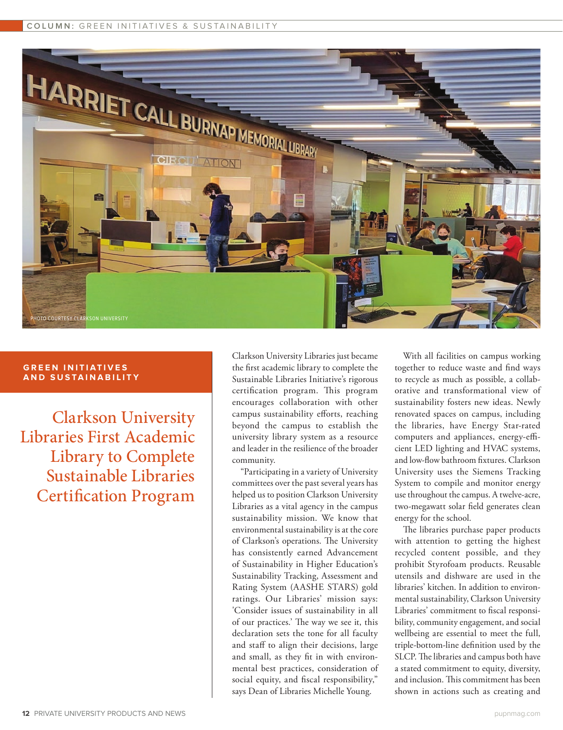## **COLUMN:** GREEN INITIATIVES & SUSTAINABILITY



## **GREEN INITIATIVES AND SUSTAINABILITY**

Clarkson University Libraries First Academic Library to Complete Sustainable Libraries Certification Program

Clarkson University Libraries just became the first academic library to complete the Sustainable Libraries Initiative's rigorous certification program. This program encourages collaboration with other campus sustainability efforts, reaching beyond the campus to establish the university library system as a resource and leader in the resilience of the broader community.

"Participating in a variety of University committees over the past several years has helped us to position Clarkson University Libraries as a vital agency in the campus sustainability mission. We know that environmental sustainability is at the core of Clarkson's operations. The University has consistently earned Advancement of Sustainability in Higher Education's Sustainability Tracking, Assessment and Rating System (AASHE STARS) gold ratings. Our Libraries' mission says: 'Consider issues of sustainability in all of our practices.' The way we see it, this declaration sets the tone for all faculty and staff to align their decisions, large and small, as they fit in with environmental best practices, consideration of social equity, and fiscal responsibility," says Dean of Libraries Michelle Young.

With all facilities on campus working together to reduce waste and find ways to recycle as much as possible, a collaborative and transformational view of sustainability fosters new ideas. Newly renovated spaces on campus, including the libraries, have Energy Star-rated computers and appliances, energy-efficient LED lighting and HVAC systems, and low-flow bathroom fixtures. Clarkson University uses the Siemens Tracking System to compile and monitor energy use throughout the campus. A twelve-acre, two-megawatt solar field generates clean energy for the school.

The libraries purchase paper products with attention to getting the highest recycled content possible, and they prohibit Styrofoam products. Reusable utensils and dishware are used in the libraries' kitchen. In addition to environmental sustainability, Clarkson University Libraries' commitment to fiscal responsibility, community engagement, and social wellbeing are essential to meet the full, triple-bottom-line definition used by the SLCP. The libraries and campus both have a stated commitment to equity, diversity, and inclusion. This commitment has been shown in actions such as creating and